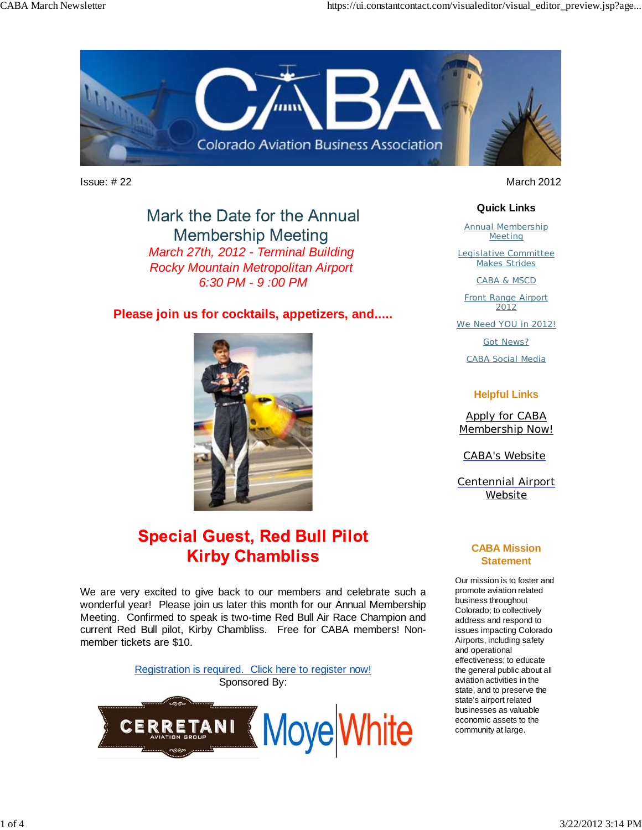

Mark the Date for the Annual **Membership Meeting** *March 27th, 2012 - Terminal Building Rocky Mountain Metropolitan Airport 6:30 PM - 9 :00 PM*

### **Please join us for cocktails, appetizers, and.....**



# **Special Guest, Red Bull Pilot Kirby Chambliss**

We are very excited to give back to our members and celebrate such a wonderful year! Please join us later this month for our Annual Membership Meeting. Confirmed to speak is two-time Red Bull Air Race Champion and current Red Bull pilot, Kirby Chambliss. Free for CABA members! Nonmember tickets are \$10.



Issue: # 22 March 2012

#### **Quick Links**

Annual Membership **Meeting** 

Legislative Committee Makes Strides

CABA & MSCD

Front Range Airport 2012

We Need YOU in 2012!

Got News?

CABA Social Media

#### **Helpful Links**

Apply for CABA Membership Now!

CABA's Website

Centennial Airport Website

#### **CABA Mission Statement**

Our mission is to foster and promote aviation related business throughout Colorado; to collectively address and respond to issues impacting Colorado Airports, including safety and operational effectiveness; to educate the general public about all aviation activities in the state, and to preserve the state's airport related businesses as valuable economic assets to the community at large.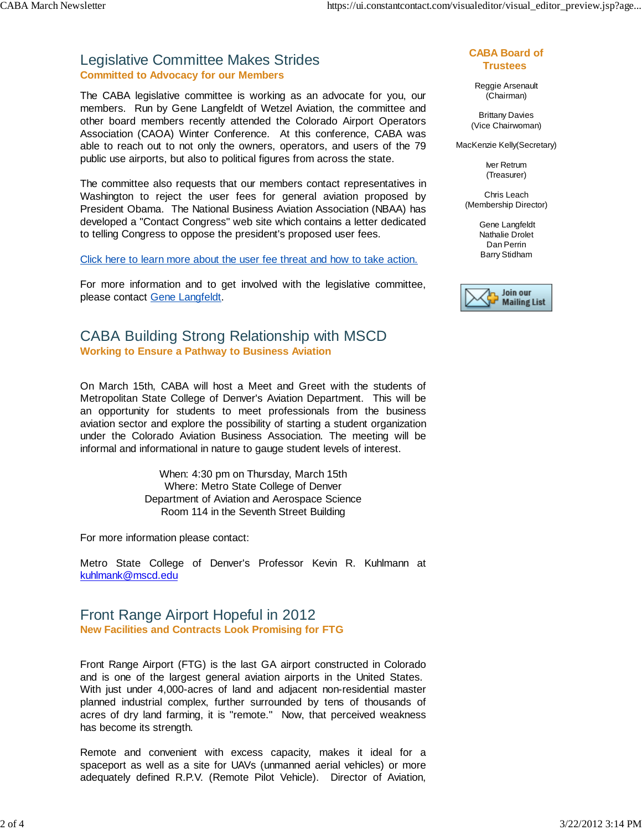#### Legislative Committee Makes Strides **Committed to Advocacy for our Members**

The CABA legislative committee is working as an advocate for you, our members. Run by Gene Langfeldt of Wetzel Aviation, the committee and other board members recently attended the Colorado Airport Operators Association (CAOA) Winter Conference. At this conference, CABA was able to reach out to not only the owners, operators, and users of the 79 public use airports, but also to political figures from across the state.

The committee also requests that our members contact representatives in Washington to reject the user fees for general aviation proposed by President Obama. The National Business Aviation Association (NBAA) has developed a "Contact Congress" web site which contains a letter dedicated to telling Congress to oppose the president's proposed user fees.

#### Click here to learn more about the user fee threat and how to take action.

For more information and to get involved with the legislative committee, please contact Gene Langfeldt.

### CABA Building Strong Relationship with MSCD **Working to Ensure a Pathway to Business Aviation**

On March 15th, CABA will host a Meet and Greet with the students of Metropolitan State College of Denver's Aviation Department. This will be an opportunity for students to meet professionals from the business aviation sector and explore the possibility of starting a student organization under the Colorado Aviation Business Association. The meeting will be informal and informational in nature to gauge student levels of interest.

> When: 4:30 pm on Thursday, March 15th Where: Metro State College of Denver Department of Aviation and Aerospace Science Room 114 in the Seventh Street Building

For more information please contact:

Metro State College of Denver's Professor Kevin R. Kuhlmann at kuhlmank@mscd.edu

### Front Range Airport Hopeful in 2012 **New Facilities and Contracts Look Promising for FTG**

Front Range Airport (FTG) is the last GA airport constructed in Colorado and is one of the largest general aviation airports in the United States. With just under 4,000-acres of land and adjacent non-residential master planned industrial complex, further surrounded by tens of thousands of acres of dry land farming, it is "remote." Now, that perceived weakness has become its strength.

Remote and convenient with excess capacity, makes it ideal for a spaceport as well as a site for UAVs (unmanned aerial vehicles) or more adequately defined R.P.V. (Remote Pilot Vehicle). Director of Aviation,

#### **CABA Board of Trustees**

Reggie Arsenault (Chairman)

Brittany Davies (Vice Chairwoman)

MacKenzie Kelly(Secretary)

Iver Retrum (Treasurer)

Chris Leach (Membership Director)

> Gene Langfeldt Nathalie Drolet Dan Perrin Barry Stidham

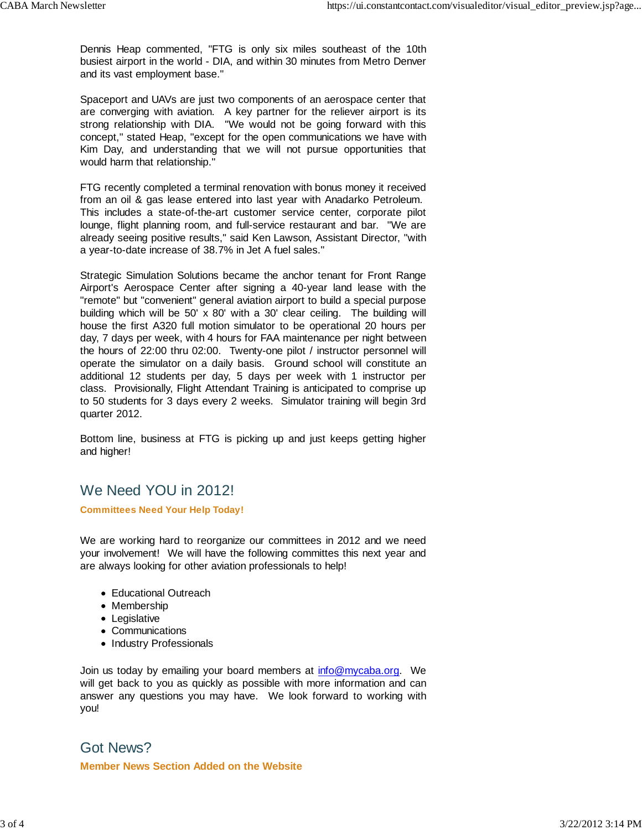Dennis Heap commented, "FTG is only six miles southeast of the 10th busiest airport in the world - DIA, and within 30 minutes from Metro Denver and its vast employment base."

Spaceport and UAVs are just two components of an aerospace center that are converging with aviation. A key partner for the reliever airport is its strong relationship with DIA. "We would not be going forward with this concept," stated Heap, "except for the open communications we have with Kim Day, and understanding that we will not pursue opportunities that would harm that relationship."

FTG recently completed a terminal renovation with bonus money it received from an oil & gas lease entered into last year with Anadarko Petroleum. This includes a state-of-the-art customer service center, corporate pilot lounge, flight planning room, and full-service restaurant and bar. "We are already seeing positive results," said Ken Lawson, Assistant Director, "with a year-to-date increase of 38.7% in Jet A fuel sales."

Strategic Simulation Solutions became the anchor tenant for Front Range Airport's Aerospace Center after signing a 40-year land lease with the "remote" but "convenient" general aviation airport to build a special purpose building which will be 50' x 80' with a 30' clear ceiling. The building will house the first A320 full motion simulator to be operational 20 hours per day, 7 days per week, with 4 hours for FAA maintenance per night between the hours of 22:00 thru 02:00. Twenty-one pilot / instructor personnel will operate the simulator on a daily basis. Ground school will constitute an additional 12 students per day, 5 days per week with 1 instructor per class. Provisionally, Flight Attendant Training is anticipated to comprise up to 50 students for 3 days every 2 weeks. Simulator training will begin 3rd quarter 2012.

Bottom line, business at FTG is picking up and just keeps getting higher and higher!

## We Need YOU in 2012!

**Committees Need Your Help Today!** 

We are working hard to reorganize our committees in 2012 and we need your involvement! We will have the following committes this next year and are always looking for other aviation professionals to help!

- Educational Outreach
- Membership
- Legislative
- Communications
- Industry Professionals

Join us today by emailing your board members at info@mycaba.org. We will get back to you as quickly as possible with more information and can answer any questions you may have. We look forward to working with you!

### Got News? **Member News Section Added on the Website**